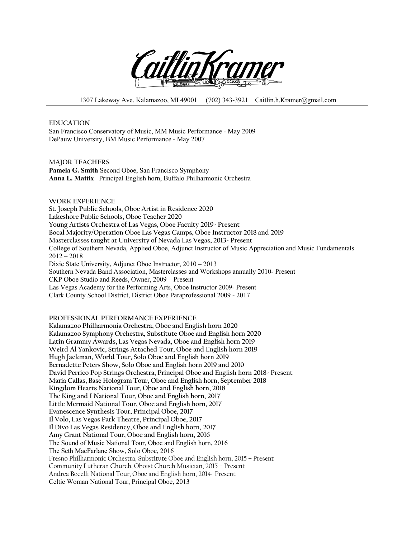

1307 Lakeway Ave. Kalamazoo, MI 49001 (702) 343-3921 Caitlin.h.Kramer@gmail.com

**EDUCATION** San Francisco Conservatory of Music, MM Music Performance - May 2009 DePauw University, BM Music Performance - May 2007

**MAJOR TEACHERS Pamela G. Smith** Second Oboe, San Francisco Symphony **Anna L. Mattix** Principal English horn, Buffalo Philharmonic Orchestra

**WORK EXPERIENCE St. Joseph Public Schools, Oboe Artist in Residence 2020 Lakeshore Public Schools, Oboe Teacher 2020 Young Artists Orchestra of Las Vegas, Oboe Faculty 2019- Present Bocal Majority/Operation Oboe Las Vegas Camps, Oboe Instructor 2018 and 2019 Masterclasses taught at University of Nevada Las Vegas, 2013- Present** College of Southern Nevada, Applied Oboe, Adjunct Instructor of Music Appreciation and Music Fundamentals  $2012 - 2018$ Dixie State University, Adjunct Oboe Instructor, 2010 – 2013 Southern Nevada Band Association, Masterclasses and Workshops annually 2010- Present CKP Oboe Studio and Reeds, Owner, 2009 – Present Las Vegas Academy for the Performing Arts, Oboe Instructor 2009- Present Clark County School District, District Oboe Paraprofessional 2009 - 2017

**PROFESSIONAL PERFORMANCE EXPERIENCE**

**Kalamazoo Philharmonia Orchestra, Oboe and English horn 2020 Kalamazoo Symphony Orchestra, Substitute Oboe and English horn 2020 Latin Grammy Awards, Las Vegas Nevada, Oboe and English horn 2019 Weird Al Yankovic, Strings Attached Tour, Oboe and English horn 2019 Hugh Jackman, World Tour, Solo Oboe and English horn 2019 Bernadette Peters Show, Solo Oboe and English horn 2019 and 2010 David Perrico Pop Strings Orchestra, Principal Oboe and English horn 2018- Present Maria Callas, Base Hologram Tour, Oboe and English horn, September 2018 Kingdom Hearts National Tour, Oboe and English horn, 2018 The King and I National Tour, Oboe and English horn, 2017 Little Mermaid National Tour, Oboe and English horn, 2017 Evanescence Synthesis Tour, Principal Oboe, 2017 Il Volo, Las Vegas Park Theatre, Principal Oboe, 2017 Il Divo Las Vegas Residency, Oboe and English horn, 2017 Amy Grant National Tour, Oboe and English horn, 2016** The Sound of Music National Tour, Oboe and English horn, 2016 The Seth MacFarlane Show, Solo Oboe, 2016 Fresno Philharmonic Orchestra, Substitute Oboe and English horn, 2015 – Present Community Lutheran Church, Oboist Church Musician, 2015 – Present Andrea Bocelli National Tour, Oboe and English horn, 2014- Present Celtic Woman National Tour, Principal Oboe, 2013